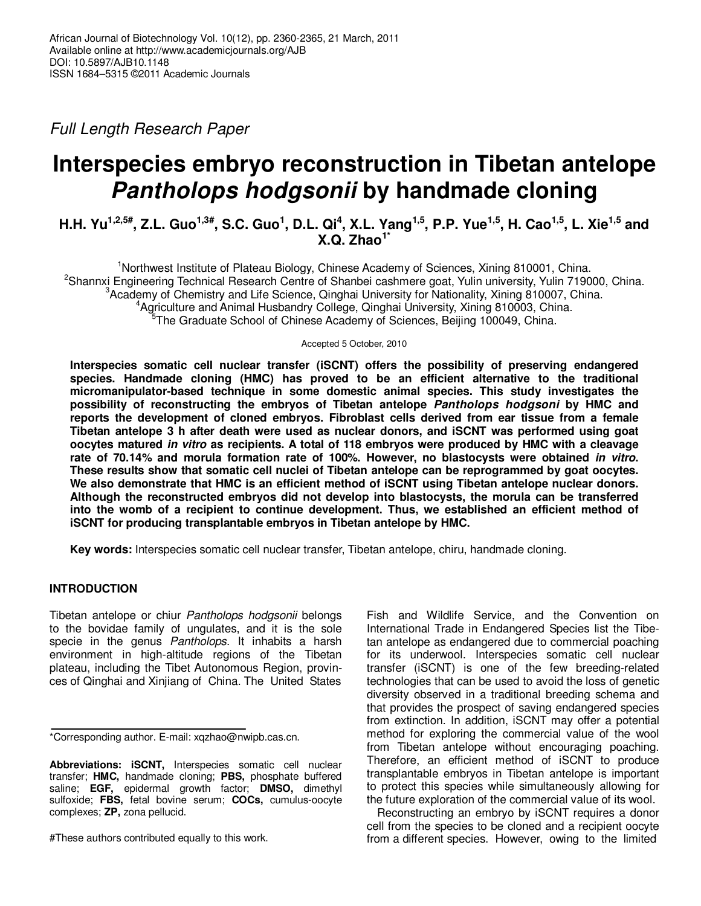Full Length Research Paper

# **Interspecies embryo reconstruction in Tibetan antelope Pantholops hodgsonii by handmade cloning**

**H.H. Yu1,2,5#, Z.L. Guo1,3#, S.C. Guo<sup>1</sup> , D.L. Qi<sup>4</sup> , X.L. Yang1,5, P.P. Yue1,5, H. Cao1,5, L. Xie1,5 and X.Q. Zhao1\***

<sup>1</sup>Northwest Institute of Plateau Biology, Chinese Academy of Sciences, Xining 810001, China. <sup>2</sup>Shannxi Engineering Technical Research Centre of Shanbei cashmere goat, Yulin university, Yulin 719000, China. <sup>3</sup>Academy of Chemistry and Life Science, Qinghai University for Nationality, Xining 810007, China. <sup>4</sup>Agriculture and Animal Husbandry College, Qinghai University, Xining 810003, China. <sup>5</sup>The Graduate School of Chinese Academy of Sciences, Beijing 100049, China.

Accepted 5 October, 2010

**Interspecies somatic cell nuclear transfer (iSCNT) offers the possibility of preserving endangered species. Handmade cloning (HMC) has proved to be an efficient alternative to the traditional micromanipulator-based technique in some domestic animal species. This study investigates the possibility of reconstructing the embryos of Tibetan antelope Pantholops hodgsoni by HMC and reports the development of cloned embryos. Fibroblast cells derived from ear tissue from a female Tibetan antelope 3 h after death were used as nuclear donors, and iSCNT was performed using goat oocytes matured in vitro as recipients. A total of 118 embryos were produced by HMC with a cleavage rate of 70.14% and morula formation rate of 100%. However, no blastocysts were obtained in vitro. These results show that somatic cell nuclei of Tibetan antelope can be reprogrammed by goat oocytes. We also demonstrate that HMC is an efficient method of iSCNT using Tibetan antelope nuclear donors. Although the reconstructed embryos did not develop into blastocysts, the morula can be transferred into the womb of a recipient to continue development. Thus, we established an efficient method of iSCNT for producing transplantable embryos in Tibetan antelope by HMC.** 

**Key words:** Interspecies somatic cell nuclear transfer, Tibetan antelope, chiru, handmade cloning.

# **INTRODUCTION**

Tibetan antelope or chiur Pantholops hodgsonii belongs to the bovidae family of ungulates, and it is the sole specie in the genus Pantholops. It inhabits a harsh environment in high-altitude regions of the Tibetan plateau, including the Tibet Autonomous Region, provinces of Qinghai and Xinjiang of China. The United States

#These authors contributed equally to this work.

Fish and Wildlife Service, and the Convention on International Trade in Endangered Species list the Tibetan antelope as endangered due to commercial poaching for its underwool. Interspecies somatic cell nuclear transfer (iSCNT) is one of the few breeding-related technologies that can be used to avoid the loss of genetic diversity observed in a traditional breeding schema and that provides the prospect of saving endangered species from extinction. In addition, iSCNT may offer a potential method for exploring the commercial value of the wool from Tibetan antelope without encouraging poaching. Therefore, an efficient method of iSCNT to produce transplantable embryos in Tibetan antelope is important to protect this species while simultaneously allowing for the future exploration of the commercial value of its wool.

Reconstructing an embryo by iSCNT requires a donor cell from the species to be cloned and a recipient oocyte from a different species. However, owing to the limited

<sup>\*</sup>Corresponding author. E-mail: xqzhao@nwipb.cas.cn.

**Abbreviations: iSCNT,** Interspecies somatic cell nuclear transfer; **HMC,** handmade cloning; **PBS,** phosphate buffered saline; **EGF,** epidermal growth factor; **DMSO,** dimethyl sulfoxide; **FBS,** fetal bovine serum; **COCs,** cumulus-oocyte complexes; **ZP,** zona pellucid.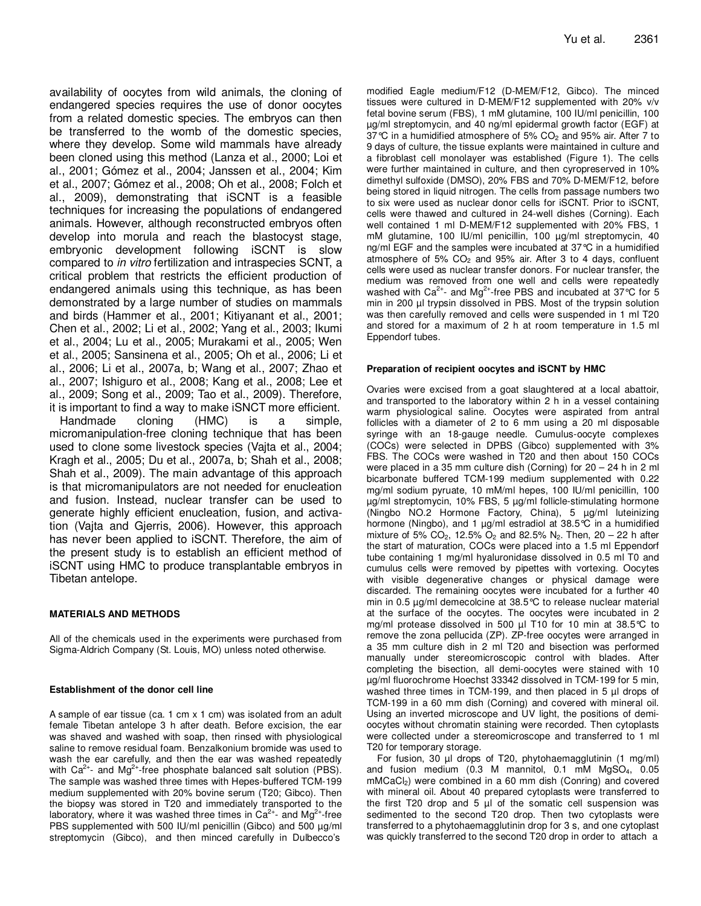availability of oocytes from wild animals, the cloning of endangered species requires the use of donor oocytes from a related domestic species. The embryos can then be transferred to the womb of the domestic species, where they develop. Some wild mammals have already been cloned using this method (Lanza et al., 2000; Loi et al., 2001; Gómez et al., 2004; Janssen et al., 2004; Kim et al., 2007; Gómez et al., 2008; Oh et al., 2008; Folch et al., 2009), demonstrating that iSCNT is a feasible techniques for increasing the populations of endangered animals. However, although reconstructed embryos often develop into morula and reach the blastocyst stage, embryonic development following iSCNT is slow compared to in vitro fertilization and intraspecies SCNT, a critical problem that restricts the efficient production of endangered animals using this technique, as has been demonstrated by a large number of studies on mammals and birds (Hammer et al., 2001; Kitiyanant et al., 2001; Chen et al., 2002; Li et al., 2002; Yang et al., 2003; Ikumi et al., 2004; Lu et al., 2005; Murakami et al., 2005; Wen et al., 2005; Sansinena et al., 2005; Oh et al., 2006; Li et al., 2006; Li et al., 2007a, b; Wang et al., 2007; Zhao et al., 2007; Ishiguro et al., 2008; Kang et al., 2008; Lee et al., 2009; Song et al., 2009; Tao et al., 2009). Therefore, it is important to find a way to make iSNCT more efficient.

Handmade cloning (HMC) is a simple, micromanipulation-free cloning technique that has been used to clone some livestock species (Vajta et al., 2004; Kragh et al., 2005; Du et al., 2007a, b; Shah et al., 2008; Shah et al., 2009). The main advantage of this approach is that micromanipulators are not needed for enucleation and fusion. Instead, nuclear transfer can be used to generate highly efficient enucleation, fusion, and activation (Vajta and Gjerris, 2006). However, this approach has never been applied to iSCNT. Therefore, the aim of the present study is to establish an efficient method of iSCNT using HMC to produce transplantable embryos in Tibetan antelope.

## **MATERIALS AND METHODS**

All of the chemicals used in the experiments were purchased from Sigma-Aldrich Company (St. Louis, MO) unless noted otherwise.

#### **Establishment of the donor cell line**

A sample of ear tissue (ca. 1 cm x 1 cm) was isolated from an adult female Tibetan antelope 3 h after death. Before excision, the ear was shaved and washed with soap, then rinsed with physiological saline to remove residual foam. Benzalkonium bromide was used to wash the ear carefully, and then the ear was washed repeatedly with  $Ca^{2+}$ - and Mg<sup>2+</sup>-free phosphate balanced salt solution (PBS). The sample was washed three times with Hepes-buffered TCM-199 medium supplemented with 20% bovine serum (T20; Gibco). Then the biopsy was stored in T20 and immediately transported to the laboratory, where it was washed three times in  $Ca^{2+}$ - and  $Mg^{2+}$ -free PBS supplemented with 500 IU/ml penicillin (Gibco) and 500  $\mu$ g/ml streptomycin (Gibco), and then minced carefully in Dulbecco's

modified Eagle medium/F12 (D-MEM/F12, Gibco). The minced tissues were cultured in D-MEM/F12 supplemented with 20% v/v fetal bovine serum (FBS), 1 mM glutamine, 100 IU/ml penicillin, 100 µg/ml streptomycin, and 40 ng/ml epidermal growth factor (EGF) at 37 °C in a humidified atmosphere of 5%  $CO<sub>2</sub>$  and 95% air. After 7 to 9 days of culture, the tissue explants were maintained in culture and a fibroblast cell monolayer was established (Figure 1). The cells were further maintained in culture, and then cyropreserved in 10% dimethyl sulfoxide (DMSO), 20% FBS and 70% D-MEM/F12, before being stored in liquid nitrogen. The cells from passage numbers two to six were used as nuclear donor cells for iSCNT. Prior to iSCNT, cells were thawed and cultured in 24-well dishes (Corning). Each well contained 1 ml D-MEM/F12 supplemented with 20% FBS, 1 mM glutamine, 100 IU/ml penicillin, 100 µg/ml streptomycin, 40 ng/ml EGF and the samples were incubated at 37°C in a humidified atmosphere of  $5\%$  CO<sub>2</sub> and  $95\%$  air. After 3 to 4 days, confluent cells were used as nuclear transfer donors. For nuclear transfer, the medium was removed from one well and cells were repeatedly washed with  $Ca^{2+}$ - and  $Mg^{2+}$ -free PBS and incubated at 37 °C for 5 min in 200 µl trypsin dissolved in PBS. Most of the trypsin solution was then carefully removed and cells were suspended in 1 ml T20 and stored for a maximum of 2 h at room temperature in 1.5 ml Eppendorf tubes.

#### **Preparation of recipient oocytes and iSCNT by HMC**

Ovaries were excised from a goat slaughtered at a local abattoir, and transported to the laboratory within 2 h in a vessel containing warm physiological saline. Oocytes were aspirated from antral follicles with a diameter of 2 to 6 mm using a 20 ml disposable syringe with an 18-gauge needle. Cumulus-oocyte complexes (COCs) were selected in DPBS (Gibco) supplemented with 3% FBS. The COCs were washed in T20 and then about 150 COCs were placed in a 35 mm culture dish (Corning) for 20 – 24 h in 2 ml bicarbonate buffered TCM-199 medium supplemented with 0.22 mg/ml sodium pyruate, 10 mM/ml hepes, 100 IU/ml penicillin, 100 µg/ml streptomycin, 10% FBS, 5 µg/ml follicle-stimulating hormone (Ningbo NO.2 Hormone Factory, China), 5 µg/ml luteinizing hormone (Ningbo), and 1 µg/ml estradiol at 38.5°C in a humidified mixture of 5%  $CO_2$ , 12.5%  $O_2$  and 82.5% N<sub>2</sub>. Then, 20 – 22 h after the start of maturation, COCs were placed into a 1.5 ml Eppendorf tube containing 1 mg/ml hyaluronidase dissolved in 0.5 ml T0 and cumulus cells were removed by pipettes with vortexing. Oocytes with visible degenerative changes or physical damage were discarded. The remaining oocytes were incubated for a further 40 min in 0.5 µg/ml demecolcine at 38.5°C to release nuclear material at the surface of the oocytes. The oocytes were incubated in 2 mg/ml protease dissolved in 500 µl T10 for 10 min at 38.5°C to remove the zona pellucida (ZP). ZP-free oocytes were arranged in a 35 mm culture dish in 2 ml T20 and bisection was performed manually under stereomicroscopic control with blades. After completing the bisection, all demi-oocytes were stained with 10 µg/ml fluorochrome Hoechst 33342 dissolved in TCM-199 for 5 min, washed three times in TCM-199, and then placed in 5 µl drops of TCM-199 in a 60 mm dish (Corning) and covered with mineral oil. Using an inverted microscope and UV light, the positions of demioocytes without chromatin staining were recorded. Then cytoplasts were collected under a stereomicroscope and transferred to 1 ml T20 for temporary storage.

For fusion, 30 µl drops of T20, phytohaemagglutinin (1 mg/ml) and fusion medium (0.3 M mannitol, 0.1 mM MgSO4, 0.05 mMCaCl<sub>2</sub>) were combined in a 60 mm dish (Conring) and covered with mineral oil. About 40 prepared cytoplasts were transferred to the first T20 drop and  $5 \mu l$  of the somatic cell suspension was sedimented to the second T20 drop. Then two cytoplasts were transferred to a phytohaemagglutinin drop for 3 s, and one cytoplast was quickly transferred to the second T20 drop in order to attach a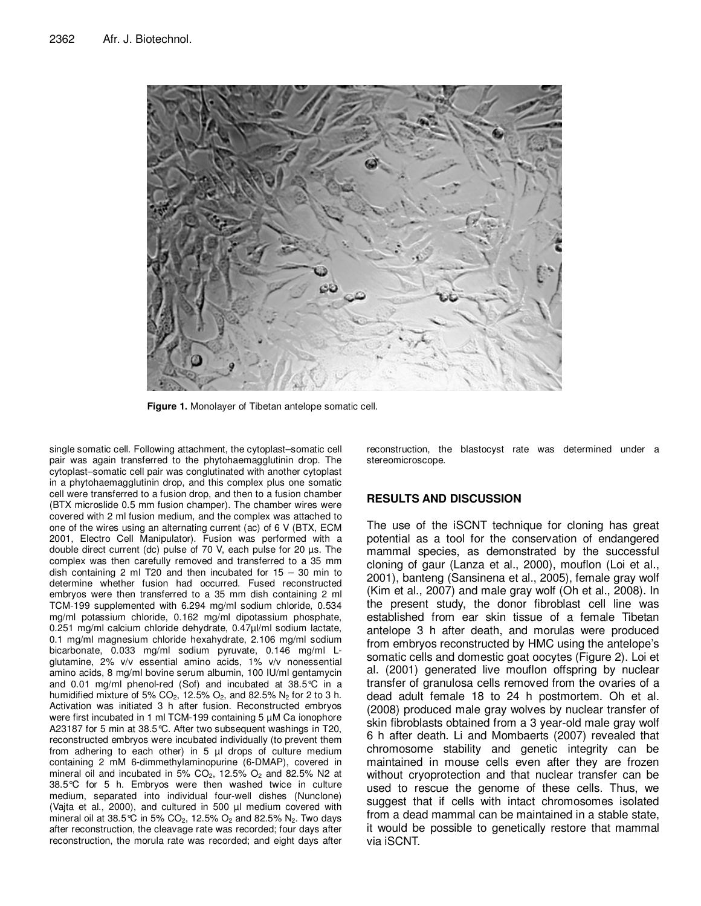

**Figure 1.** Monolayer of Tibetan antelope somatic cell.

single somatic cell. Following attachment, the cytoplast–somatic cell pair was again transferred to the phytohaemagglutinin drop. The cytoplast–somatic cell pair was conglutinated with another cytoplast in a phytohaemagglutinin drop, and this complex plus one somatic cell were transferred to a fusion drop, and then to a fusion chamber (BTX microslide 0.5 mm fusion champer). The chamber wires were covered with 2 ml fusion medium, and the complex was attached to one of the wires using an alternating current (ac) of 6 V (BTX, ECM 2001, Electro Cell Manipulator). Fusion was performed with a double direct current (dc) pulse of 70 V, each pulse for 20 µs. The complex was then carefully removed and transferred to a 35 mm dish containing 2 ml T20 and then incubated for  $15 - 30$  min to determine whether fusion had occurred. Fused reconstructed embryos were then transferred to a 35 mm dish containing 2 ml TCM-199 supplemented with 6.294 mg/ml sodium chloride, 0.534 mg/ml potassium chloride, 0.162 mg/ml dipotassium phosphate, 0.251 mg/ml calcium chloride dehydrate, 0.47µl/ml sodium lactate, 0.1 mg/ml magnesium chloride hexahydrate, 2.106 mg/ml sodium bicarbonate, 0.033 mg/ml sodium pyruvate, 0.146 mg/ml Lglutamine, 2% v/v essential amino acids, 1% v/v nonessential amino acids, 8 mg/ml bovine serum albumin, 100 IU/ml gentamycin and 0.01 mg/ml phenol-red (Sof) and incubated at 38.5°C in a humidified mixture of 5%  $CO<sub>2</sub>$ , 12.5%  $O<sub>2</sub>$ , and 82.5%  $N<sub>2</sub>$  for 2 to 3 h. Activation was initiated 3 h after fusion. Reconstructed embryos were first incubated in 1 ml TCM-199 containing 5 µM Ca ionophore A23187 for 5 min at 38.5°C. After two subsequent washings in T20, reconstructed embryos were incubated individually (to prevent them from adhering to each other) in 5 µl drops of culture medium containing 2 mM 6-dimmethylaminopurine (6-DMAP), covered in mineral oil and incubated in 5%  $CO<sub>2</sub>$ , 12.5%  $O<sub>2</sub>$  and 82.5% N2 at 38.5°C for 5 h. Embryos were then washed twice in culture medium, separated into individual four-well dishes (Nunclone) (Vajta et al., 2000), and cultured in 500 µl medium covered with mineral oil at 38.5 °C in 5% CO<sub>2</sub>, 12.5% O<sub>2</sub> and 82.5% N<sub>2</sub>. Two days after reconstruction, the cleavage rate was recorded; four days after reconstruction, the morula rate was recorded; and eight days after

reconstruction, the blastocyst rate was determined under a stereomicroscope.

# **RESULTS AND DISCUSSION**

The use of the iSCNT technique for cloning has great potential as a tool for the conservation of endangered mammal species, as demonstrated by the successful cloning of gaur (Lanza et al., 2000), mouflon (Loi et al., 2001), banteng (Sansinena et al., 2005), female gray wolf (Kim et al., 2007) and male gray wolf (Oh et al., 2008). In the present study, the donor fibroblast cell line was established from ear skin tissue of a female Tibetan antelope 3 h after death, and morulas were produced from embryos reconstructed by HMC using the antelope's somatic cells and domestic goat oocytes (Figure 2). Loi et al. (2001) generated live mouflon offspring by nuclear transfer of granulosa cells removed from the ovaries of a dead adult female 18 to 24 h postmortem. Oh et al. (2008) produced male gray wolves by nuclear transfer of skin fibroblasts obtained from a 3 year-old male gray wolf 6 h after death. Li and Mombaerts (2007) revealed that chromosome stability and genetic integrity can be maintained in mouse cells even after they are frozen without cryoprotection and that nuclear transfer can be used to rescue the genome of these cells. Thus, we suggest that if cells with intact chromosomes isolated from a dead mammal can be maintained in a stable state, it would be possible to genetically restore that mammal via iSCNT.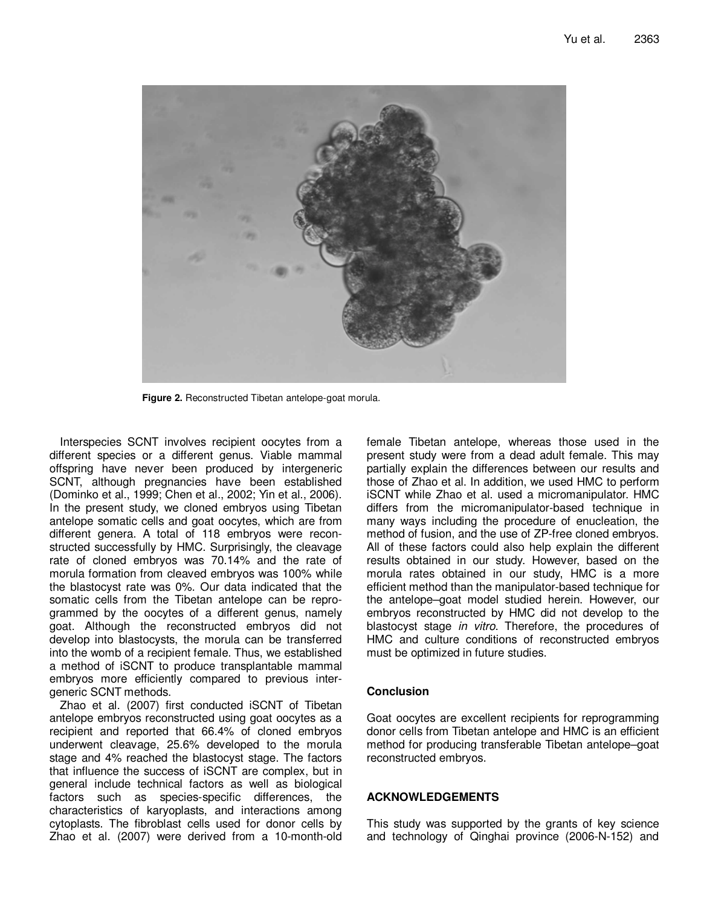

**Figure 2.** Reconstructed Tibetan antelope-goat morula.

Interspecies SCNT involves recipient oocytes from a different species or a different genus. Viable mammal offspring have never been produced by intergeneric SCNT, although pregnancies have been established (Dominko et al., 1999; Chen et al., 2002; Yin et al., 2006). In the present study, we cloned embryos using Tibetan antelope somatic cells and goat oocytes, which are from different genera. A total of 118 embryos were reconstructed successfully by HMC. Surprisingly, the cleavage rate of cloned embryos was 70.14% and the rate of morula formation from cleaved embryos was 100% while the blastocyst rate was 0%. Our data indicated that the somatic cells from the Tibetan antelope can be reprogrammed by the oocytes of a different genus, namely goat. Although the reconstructed embryos did not develop into blastocysts, the morula can be transferred into the womb of a recipient female. Thus, we established a method of iSCNT to produce transplantable mammal embryos more efficiently compared to previous intergeneric SCNT methods.

Zhao et al. (2007) first conducted iSCNT of Tibetan antelope embryos reconstructed using goat oocytes as a recipient and reported that 66.4% of cloned embryos underwent cleavage, 25.6% developed to the morula stage and 4% reached the blastocyst stage. The factors that influence the success of iSCNT are complex, but in general include technical factors as well as biological factors such as species-specific differences, the characteristics of karyoplasts, and interactions among cytoplasts. The fibroblast cells used for donor cells by Zhao et al. (2007) were derived from a 10-month-old

female Tibetan antelope, whereas those used in the present study were from a dead adult female. This may partially explain the differences between our results and those of Zhao et al. In addition, we used HMC to perform iSCNT while Zhao et al. used a micromanipulator. HMC differs from the micromanipulator-based technique in many ways including the procedure of enucleation, the method of fusion, and the use of ZP-free cloned embryos. All of these factors could also help explain the different results obtained in our study. However, based on the morula rates obtained in our study, HMC is a more efficient method than the manipulator-based technique for the antelope–goat model studied herein. However, our embryos reconstructed by HMC did not develop to the blastocyst stage in vitro. Therefore, the procedures of HMC and culture conditions of reconstructed embryos must be optimized in future studies.

## **Conclusion**

Goat oocytes are excellent recipients for reprogramming donor cells from Tibetan antelope and HMC is an efficient method for producing transferable Tibetan antelope–goat reconstructed embryos.

## **ACKNOWLEDGEMENTS**

This study was supported by the grants of key science and technology of Qinghai province (2006-N-152) and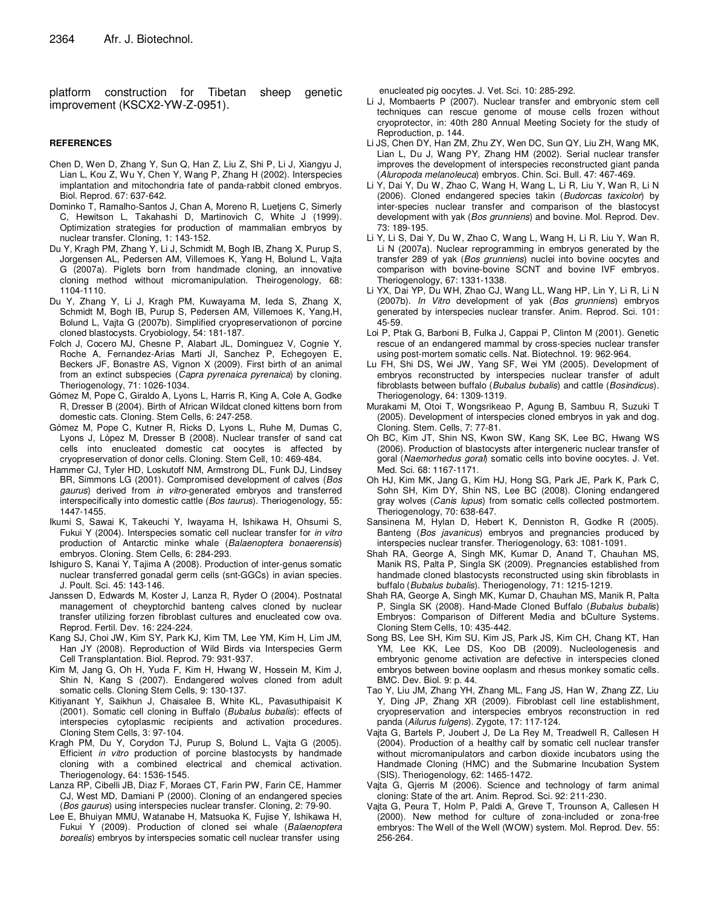platform construction for Tibetan sheep genetic improvement (KSCX2-YW-Z-0951).

#### **REFERENCES**

- Chen D, Wen D, Zhang Y, Sun Q, Han Z, Liu Z, Shi P, Li J, Xiangyu J, Lian L, Kou Z, Wu Y, Chen Y, Wang P, Zhang H (2002). Interspecies implantation and mitochondria fate of panda-rabbit cloned embryos. Biol. Reprod. 67: 637-642.
- Dominko T, Ramalho-Santos J, Chan A, Moreno R, Luetjens C, Simerly C, Hewitson L, Takahashi D, Martinovich C, White J (1999). Optimization strategies for production of mammalian embryos by nuclear transfer. Cloning, 1: 143-152.
- Du Y, Kragh PM, Zhang Y, Li J, Schmidt M, Bogh IB, Zhang X, Purup S, Jorgensen AL, Pedersen AM, Villemoes K, Yang H, Bolund L, Vajta G (2007a). Piglets born from handmade cloning, an innovative cloning method without micromanipulation. Theirogenology, 68: 1104-1110.
- Du Y, Zhang Y, Li J, Kragh PM, Kuwayama M, Ieda S, Zhang X, Schmidt M, Bogh IB, Purup S, Pedersen AM, Villemoes K, Yang,H, Bolund L, Vajta G (2007b). Simplified cryopreservationon of porcine cloned blastocysts. Cryobiology, 54: 181-187.
- Folch J, Cocero MJ, Chesne P, Alabart JL, Dominguez V, Cognie Y, Roche A, Fernandez-Arias Marti JI, Sanchez P, Echegoyen E, Beckers JF, Bonastre AS, Vignon X (2009). First birth of an animal from an extinct subspecies (Capra pyrenaica pyrenaica) by cloning. Theriogenology, 71: 1026-1034.
- Gómez M, Pope C, Giraldo A, Lyons L, Harris R, King A, Cole A, Godke R, Dresser B (2004). Birth of African Wildcat cloned kittens born from domestic cats. Cloning. Stem Cells, 6: 247-258.
- Gómez M, Pope C, Kutner R, Ricks D, Lyons L, Ruhe M, Dumas C, Lyons J, López M, Dresser B (2008). Nuclear transfer of sand cat cells into enucleated domestic cat oocytes is affected by cryopreservation of donor cells. Cloning. Stem Cell, 10: 469-484.
- Hammer CJ, Tyler HD, Loskutoff NM, Armstrong DL, Funk DJ, Lindsey BR, Simmons LG (2001). Compromised development of calves (Bos gaurus) derived from in vitro-generated embryos and transferred interspecifically into domestic cattle (Bos taurus). Theriogenology, 55: 1447-1455.
- Ikumi S, Sawai K, Takeuchi Y, Iwayama H, Ishikawa H, Ohsumi S, Fukui Y (2004). Interspecies somatic cell nuclear transfer for in vitro production of Antarctic minke whale (Balaenoptera bonaerensis) embryos. Cloning. Stem Cells, 6: 284-293.
- Ishiguro S, Kanai Y, Tajima A (2008). Production of inter-genus somatic nuclear transferred gonadal germ cells (snt-GGCs) in avian species. J. Poult. Sci. 45: 143-146.
- Janssen D, Edwards M, Koster J, Lanza R, Ryder O (2004). Postnatal management of cheyptorchid banteng calves cloned by nuclear transfer utilizing forzen fibroblast cultures and enucleated cow ova. Reprod. Fertil. Dev. 16: 224-224.
- Kang SJ, Choi JW, Kim SY, Park KJ, Kim TM, Lee YM, Kim H, Lim JM, Han JY (2008). Reproduction of Wild Birds via Interspecies Germ Cell Transplantation. Biol. Reprod. 79: 931-937.
- Kim M, Jang G, Oh H, Yuda F, Kim H, Hwang W, Hossein M, Kim J, Shin N, Kang S (2007). Endangered wolves cloned from adult somatic cells. Cloning Stem Cells, 9: 130-137.
- Kitiyanant Y, Saikhun J, Chaisalee B, White KL, Pavasuthipaisit K (2001). Somatic cell cloning in Buffalo (Bubalus bubalis): effects of interspecies cytoplasmic recipients and activation procedures. Cloning Stem Cells, 3: 97-104.
- Kragh PM, Du Y, Corydon TJ, Purup S, Bolund L, Vajta G (2005). Efficient in vitro production of porcine blastocysts by handmade cloning with a combined electrical and chemical activation. Theriogenology, 64: 1536-1545.
- Lanza RP, Cibelli JB, Diaz F, Moraes CT, Farin PW, Farin CE, Hammer CJ, West MD, Damiani P (2000). Cloning of an endangered species (Bos gaurus) using interspecies nuclear transfer. Cloning, 2: 79-90.
- Lee E, Bhuiyan MMU, Watanabe H, Matsuoka K, Fujise Y, Ishikawa H, Fukui Y (2009). Production of cloned sei whale (Balaenoptera borealis) embryos by interspecies somatic cell nuclear transfer using

enucleated pig oocytes. J. Vet. Sci. 10: 285-292.

- Li J, Mombaerts P (2007). Nuclear transfer and embryonic stem cell techniques can rescue genome of mouse cells frozen without cryoprotector, in: 40th 280 Annual Meeting Society for the study of Reproduction, p. 144.
- Li JS, Chen DY, Han ZM, Zhu ZY, Wen DC, Sun QY, Liu ZH, Wang MK, Lian L, Du J, Wang PY, Zhang HM (2002). Serial nuclear transfer improves the development of interspecies reconstructed giant panda (Aluropoda melanoleuca) embryos. Chin. Sci. Bull. 47: 467-469.
- Li Y, Dai Y, Du W, Zhao C, Wang H, Wang L, Li R, Liu Y, Wan R, Li N (2006). Cloned endangered species takin (Budorcas taxicolor) by inter-species nuclear transfer and comparison of the blastocyst development with yak (Bos grunniens) and bovine. Mol. Reprod. Dev. 73: 189-195.
- Li Y, Li S, Dai Y, Du W, Zhao C, Wang L, Wang H, Li R, Liu Y, Wan R, Li N (2007a). Nuclear reprogramming in embryos generated by the transfer 289 of yak (Bos grunniens) nuclei into bovine oocytes and comparison with bovine-bovine SCNT and bovine IVF embryos. Theriogenology, 67: 1331-1338.
- Li YX, Dai YP, Du WH, Zhao CJ, Wang LL, Wang HP, Lin Y, Li R, Li N (2007b). In Vitro development of yak (Bos grunniens) embryos generated by interspecies nuclear transfer. Anim. Reprod. Sci. 101: 45-59.
- Loi P, Ptak G, Barboni B, Fulka J, Cappai P, Clinton M (2001). Genetic rescue of an endangered mammal by cross-species nuclear transfer using post-mortem somatic cells. Nat. Biotechnol. 19: 962-964.
- Lu FH, Shi DS, Wei JW, Yang SF, Wei YM (2005). Development of embryos reconstructed by interspecies nuclear transfer of adult fibroblasts between buffalo (Bubalus bubalis) and cattle (Bosindicus). Theriogenology, 64: 1309-1319.
- Murakami M, Otoi T, Wongsrikeao P, Agung B, Sambuu R, Suzuki T (2005). Development of interspecies cloned embryos in yak and dog. Cloning. Stem. Cells, 7: 77-81.
- Oh BC, Kim JT, Shin NS, Kwon SW, Kang SK, Lee BC, Hwang WS (2006). Production of blastocysts after intergeneric nuclear transfer of goral (Naemorhedus goral) somatic cells into bovine oocytes. J. Vet. Med. Sci. 68: 1167-1171.
- Oh HJ, Kim MK, Jang G, Kim HJ, Hong SG, Park JE, Park K, Park C, Sohn SH, Kim DY, Shin NS, Lee BC (2008). Cloning endangered gray wolves (Canis lupus) from somatic cells collected postmortem. Theriogenology, 70: 638-647.
- Sansinena M, Hylan D, Hebert K, Denniston R, Godke R (2005). Banteng (Bos javanicus) embryos and pregnancies produced by interspecies nuclear transfer. Theriogenology, 63: 1081-1091.
- Shah RA, George A, Singh MK, Kumar D, Anand T, Chauhan MS, Manik RS, Palta P, Singla SK (2009). Pregnancies established from handmade cloned blastocysts reconstructed using skin fibroblasts in buffalo (Bubalus bubalis). Theriogenology, 71: 1215-1219.
- Shah RA, George A, Singh MK, Kumar D, Chauhan MS, Manik R, Palta P, Singla SK (2008). Hand-Made Cloned Buffalo (Bubalus bubalis) Embryos: Comparison of Different Media and bCulture Systems. Cloning Stem Cells, 10: 435-442.
- Song BS, Lee SH, Kim SU, Kim JS, Park JS, Kim CH, Chang KT, Han YM, Lee KK, Lee DS, Koo DB (2009). Nucleologenesis and embryonic genome activation are defective in interspecies cloned embryos between bovine ooplasm and rhesus monkey somatic cells. BMC. Dev. Biol. 9: p. 44.
- Tao Y, Liu JM, Zhang YH, Zhang ML, Fang JS, Han W, Zhang ZZ, Liu Y, Ding JP, Zhang XR (2009). Fibroblast cell line establishment, cryopreservation and interspecies embryos reconstruction in red panda (Ailurus fulgens). Zygote, 17: 117-124.
- Vajta G, Bartels P, Joubert J, De La Rey M, Treadwell R, Callesen H (2004). Production of a healthy calf by somatic cell nuclear transfer without micromanipulators and carbon dioxide incubators using the Handmade Cloning (HMC) and the Submarine Incubation System (SIS). Theriogenology, 62: 1465-1472.
- Vajta G, Gjerris M (2006). Science and technology of farm animal cloning: State of the art. Anim. Reprod. Sci. 92: 211-230.
- Vajta G, Peura T, Holm P, Paldi A, Greve T, Trounson A, Callesen H (2000). New method for culture of zona-included or zona-free embryos: The Well of the Well (WOW) system. Mol. Reprod. Dev. 55: 256-264.